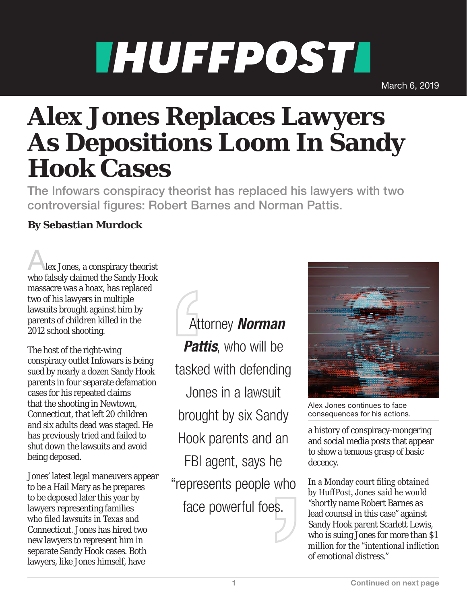## **THUFFPOSTI**

March 6, 2019

## **Alex Jones Replaces Lawyers As Depositions Loom In Sandy Hook Cases**

The Infowars conspiracy theorist has replaced his lawyers with two controversial figures: Robert Barnes and Norman Pattis.

## **By Sebastian Murdock**

Alex Jones, a conspiracy theorist who falsely claimed the Sandy Hook massacre was a hoax, has replaced two of his lawyers in multiple lawsuits brought against him by parents of children killed in the 2012 school shooting.

The host of the right-wing conspiracy outlet Infowars is being sued by nearly a dozen Sandy Hook parents in four separate defamation cases for his repeated claims that the shooting in Newtown, Connecticut, that left 20 children and six adults dead was staged. He has previously tried and failed to shut down the lawsuits and avoid being deposed.

Jones' latest legal maneuvers appear to be a Hail Mary as he prepares to be deposed later this year by lawyers representing families who filed lawsuits in Texas and Connecticut. Jones has hired two new lawyers to represent him in separate Sandy Hook cases. Both lawyers, like Jones himself, have

 Attorney *Norman*  **Pattis**, who will be tasked with defending Jones in a lawsuit brought by six Sandy Hook parents and an FBI agent, says he "represents people who face powerful foes.



Alex Jones continues to face consequences for his actions.

a history of conspiracy-mongering and social media posts that appear to show a tenuous grasp of basic decency.

In a Monday court filing obtained by HuffPost, Jones said he would "shortly name Robert Barnes as lead counsel in this case" against Sandy Hook parent Scarlett Lewis, who is suing Jones for more than \$1 million for the "intentional infliction of emotional distress."